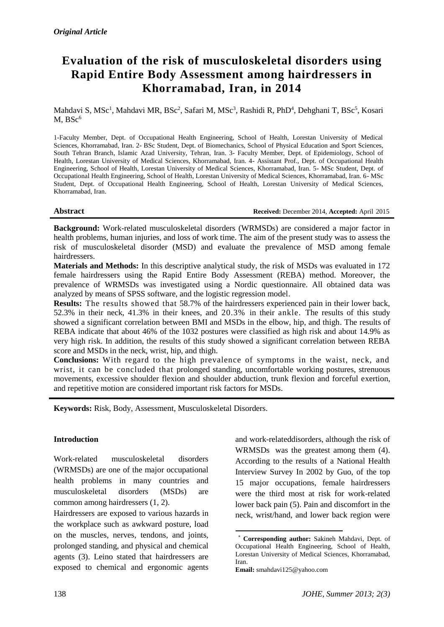# **Evaluation of the risk of musculoskeletal disorders using Rapid Entire Body Assessment among hairdressers in Khorramabad, Iran, in 2014**

Mahdavi S, MSc<sup>1</sup>, Mahdavi MR, BSc<sup>2</sup>, Safari M, MSc<sup>3</sup>, Rashidi R, PhD<sup>4</sup>, Dehghani T, BSc<sup>5</sup>, Kosari  $M, BSc<sup>6</sup>$ 

1-Faculty Member, Dept. of Occupational Health Engineering, School of Health, Lorestan University of Medical Sciences, Khorramabad, Iran. 2- BSc Student, Dept. of Biomechanics, School of Physical Education and Sport Sciences, South Tehran Branch, Islamic Azad University, Tehran, Iran. 3- Faculty Member, Dept. of Epidemiology, School of Health, Lorestan University of Medical Sciences, Khorramabad, Iran. 4- Assistant Prof., Dept. of Occupational Health Engineering, School of Health, Lorestan University of Medical Sciences, Khorramabad, Iran. 5- MSc Student, Dept. of Occupational Health Engineering, School of Health, Lorestan University of Medical Sciences, Khorramabad, Iran. 6- MSc Student, Dept. of Occupational Health Engineering, School of Health, Lorestan University of Medical Sciences, Khorramabad, Iran.

**Abstract Received:** December 2014, **Accepted:** April 2015

**Background:** Work-related musculoskeletal disorders (WRMSDs) are considered a major factor in health problems, human injuries, and loss of work time. The aim of the present study was to assess the risk of musculoskeletal disorder (MSD) and evaluate the prevalence of MSD among female hairdressers.

**Materials and Methods:** In this descriptive analytical study, the risk of MSDs was evaluated in 172 female hairdressers using the Rapid Entire Body Assessment (REBA) method. Moreover, the prevalence of WRMSDs was investigated using a Nordic questionnaire. All obtained data was analyzed by means of SPSS software, and the logistic regression model.

**Results:** The results showed that 58.7% of the hairdressers experienced pain in their lower back, 52.3% in their neck, 41.3% in their knees, and 20.3% in their ankle. The results of this study showed a significant correlation between BMI and MSDs in the elbow, hip, and thigh. The results of REBA indicate that about 46% of the 1032 postures were classified as high risk and about 14.9% as very high risk. In addition, the results of this study showed a significant correlation between REBA score and MSDs in the neck, wrist, hip, and thigh.

**Conclusions:** With regard to the high prevalence of symptoms in the waist, neck, and wrist, it can be concluded that prolonged standing, uncomfortable working postures, strenuous movements, excessive shoulder flexion and shoulder abduction, trunk flexion and forceful exertion, and repetitive motion are considered important risk factors for MSDs.

1

**Keywords:** Risk, Body, Assessment, Musculoskeletal Disorders.

# **Introduction**

Work-related musculoskeletal disorders (WRMSDs) are one of the major occupational health problems in many countries and musculoskeletal disorders (MSDs) are common among hairdressers (1, 2).

Hairdressers are exposed to various hazards in the workplace such as awkward posture, load on the muscles, nerves, tendons, and joints, prolonged standing, and physical and chemical agents (3). Leino stated that hairdressers are exposed to chemical and ergonomic agents

and work-relateddisorders, although the risk of WRMSDs was the greatest among them (4). According to the results of a National Health Interview Survey In 2002 by Guo, of the top 15 major occupations, female hairdressers were the third most at risk for work-related lower back pain (5). Pain and discomfort in the neck, wrist/hand, and lower back region were

<sup>\*</sup> **Corresponding author:** Sakineh Mahdavi, Dept. of Occupational Health Engineering, School of Health, Lorestan University of Medical Sciences, Khorramabad, Iran.

**Email:** smahdavi125@yahoo.com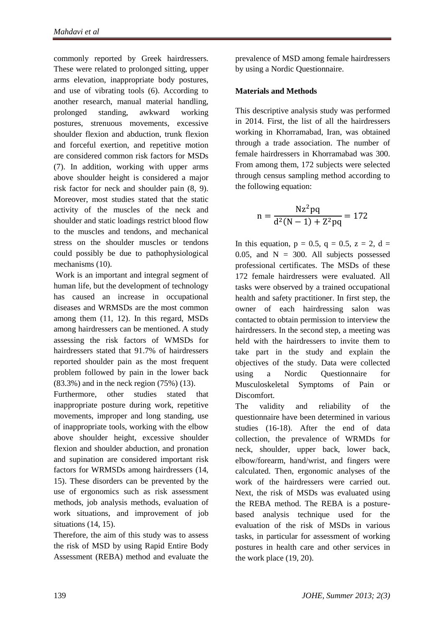commonly reported by Greek hairdressers. These were related to prolonged sitting, upper arms elevation, inappropriate body postures, and use of vibrating tools (6). According to another research, manual material handling, prolonged standing, awkward working postures, strenuous movements, excessive shoulder flexion and abduction, trunk flexion and forceful exertion, and repetitive motion are considered common risk factors for MSDs (7). In addition, working with upper arms above shoulder height is considered a major risk factor for neck and shoulder pain (8, 9). Moreover, most studies stated that the static activity of the muscles of the neck and shoulder and static loadings restrict blood flow to the muscles and tendons, and mechanical stress on the shoulder muscles or tendons could possibly be due to pathophysiological mechanisms (10).

Work is an important and integral segment of human life, but the development of technology has caused an increase in occupational diseases and WRMSDs are the most common among them (11, 12). In this regard, MSDs among hairdressers can be mentioned. A study assessing the risk factors of WMSDs for hairdressers stated that 91.7% of hairdressers reported shoulder pain as the most frequent problem followed by pain in the lower back (83.3%) and in the neck region (75%) (13).

Furthermore, other studies stated that inappropriate posture during work, repetitive movements, improper and long standing, use of inappropriate tools, working with the elbow above shoulder height, excessive shoulder flexion and shoulder abduction, and pronation and supination are considered important risk factors for WRMSDs among hairdressers (14, 15). These disorders can be prevented by the use of ergonomics such as risk assessment methods, job analysis methods, evaluation of work situations, and improvement of job situations (14, 15).

Therefore, the aim of this study was to assess the risk of MSD by using Rapid Entire Body Assessment (REBA) method and evaluate the prevalence of MSD among female hairdressers by using a Nordic Questionnaire.

# **Materials and Methods**

This descriptive analysis study was performed in 2014. First, the list of all the hairdressers working in Khorramabad, Iran, was obtained through a trade association. The number of female hairdressers in Khorramabad was 300. From among them, 172 subjects were selected through census sampling method according to the following equation:

$$
n = \frac{Nz^2pq}{d^2(N-1) + Z^2pq} = 172
$$

In this equation,  $p = 0.5$ ,  $q = 0.5$ ,  $z = 2$ ,  $d =$ 0.05, and  $N = 300$ . All subjects possessed professional certificates. The MSDs of these 172 female hairdressers were evaluated. All tasks were observed by a trained occupational health and safety practitioner. In first step, the owner of each hairdressing salon was contacted to obtain permission to interview the hairdressers. In the second step, a meeting was held with the hairdressers to invite them to take part in the study and explain the objectives of the study. Data were collected using a Nordic Questionnaire for Musculoskeletal Symptoms of Pain or Discomfort.

The validity and reliability of the questionnaire have been determined in various studies (16-18). After the end of data collection, the prevalence of WRMDs for neck, shoulder, upper back, lower back, elbow/forearm, hand/wrist, and fingers were calculated. Then, ergonomic analyses of the work of the hairdressers were carried out. Next, the risk of MSDs was evaluated using the REBA method. The REBA is a posturebased analysis technique used for the evaluation of the risk of MSDs in various tasks, in particular for assessment of working postures in health care and other services in the work place (19, 20).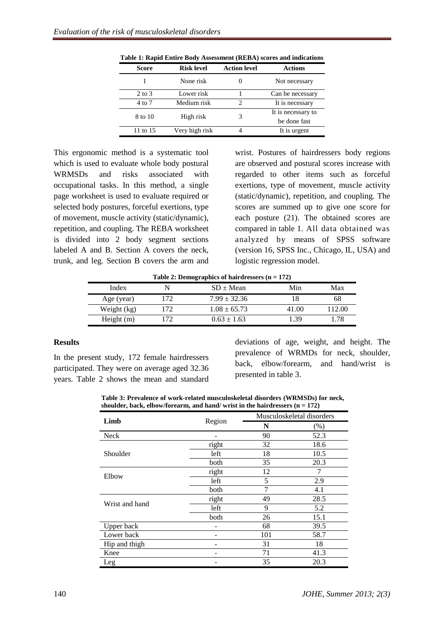| <b>Score</b>      | <b>Risk level</b> | <b>Action level</b> | <b>Actions</b>                     |
|-------------------|-------------------|---------------------|------------------------------------|
|                   | None risk         |                     | Not necessary                      |
| $2 \text{ to } 3$ | Lower risk        |                     | Can be necessary                   |
| 4 to 7            | Medium risk       | $\mathfrak{D}$      | It is necessary                    |
| 8 to 10           | High risk         | 3                   | It is necessary to<br>be done fast |
| 11 to 15          | Very high risk    |                     | It is urgent                       |

**Table 1: Rapid Entire Body Assessment (REBA) scores and indications**

This ergonomic method is a systematic tool which is used to evaluate whole body postural WRMSDs and risks associated with occupational tasks. In this method, a single page worksheet is used to evaluate required or selected body postures, forceful exertions, type of movement, muscle activity (static/dynamic), repetition, and coupling. The REBA worksheet is divided into 2 body segment sections labeled A and B. Section A covers the neck, trunk, and leg. Section B covers the arm and wrist. Postures of hairdressers body regions are observed and postural scores increase with regarded to other items such as forceful exertions, type of movement, muscle activity (static/dynamic), repetition, and coupling. The scores are summed up to give one score for each posture (21). The obtained scores are compared in table 1. All data obtained was analyzed by means of SPSS software (version 16, SPSS Inc., Chicago, IL, USA) and logistic regression model.

**Table 2: Demographics of hairdressers (n = 172)**

| Index        |     | $SD \pm Mean$    | Min   | Max    |
|--------------|-----|------------------|-------|--------|
| Age (year)   | 172 | $7.99 \pm 32.36$ | 18    | 68     |
| Weight (kg)  | 172 | $1.08 \pm 65.73$ | 41.00 | 112.00 |
| Height $(m)$ | 172 | $0.63 \pm 1.63$  | .39   | .78    |

#### **Results**

In the present study, 172 female hairdressers participated. They were on average aged 32.36 years. Table 2 shows the mean and standard

deviations of age, weight, and height. The prevalence of WRMDs for neck, shoulder, back, elbow/forearm, and hand/wrist is presented in table 3.

**Table 3: Prevalence of work-related musculoskeletal disorders (WRMSDs) for neck, shoulder, back, elbow/forearm, and hand/ wrist in the hairdressers (n = 172)**

|                |        |     | Musculoskeletal disorders |
|----------------|--------|-----|---------------------------|
| Limb           | Region | N   | $(\%)$                    |
| Neck           |        | 90  | 52.3                      |
|                | right  | 32  | 18.6                      |
| Shoulder       | left   | 18  | 10.5                      |
|                | both   | 35  | 20.3                      |
| Elbow          | right  | 12  | 7                         |
|                | left   | 5   | 2.9                       |
|                | both   | 7   | 4.1                       |
| Wrist and hand | right  | 49  | 28.5                      |
|                | left   | 9   | 5.2                       |
|                | both   | 26  | 15.1                      |
| Upper back     |        | 68  | 39.5                      |
| Lower back     |        | 101 | 58.7                      |
| Hip and thigh  |        | 31  | 18                        |
| Knee           |        | 71  | 41.3                      |
| Leg            |        | 35  | 20.3                      |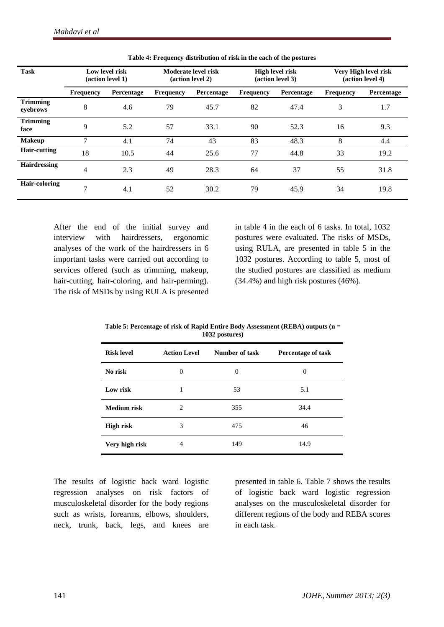| <b>Task</b>                 |                  | Low level risk<br>(action level 1) |                  | Moderate level risk<br>(action level 2) |                  | <b>High level risk</b><br>(action level 3) |                  | Very High level risk<br>(action level 4) |
|-----------------------------|------------------|------------------------------------|------------------|-----------------------------------------|------------------|--------------------------------------------|------------------|------------------------------------------|
|                             | <b>Frequency</b> | Percentage                         | <b>Frequency</b> | Percentage                              | <b>Frequency</b> | Percentage                                 | <b>Frequency</b> | Percentage                               |
| <b>Trimming</b><br>eyebrows | 8                | 4.6                                | 79               | 45.7                                    | 82               | 47.4                                       | 3                | 1.7                                      |
| <b>Trimming</b><br>face     | 9                | 5.2                                | 57               | 33.1                                    | 90               | 52.3                                       | 16               | 9.3                                      |
| <b>Makeup</b>               | $\mathcal{I}$    | 4.1                                | 74               | 43                                      | 83               | 48.3                                       | 8                | 4.4                                      |
| Hair-cutting                | 18               | 10.5                               | 44               | 25.6                                    | 77               | 44.8                                       | 33               | 19.2                                     |
| <b>Hairdressing</b>         | $\overline{4}$   | 2.3                                | 49               | 28.3                                    | 64               | 37                                         | 55               | 31.8                                     |
| <b>Hair-coloring</b>        | $\overline{7}$   | 4.1                                | 52               | 30.2                                    | 79               | 45.9                                       | 34               | 19.8                                     |

**Table 4: Frequency distribution of risk in the each of the postures**

After the end of the initial survey and interview with hairdressers, ergonomic analyses of the work of the hairdressers in 6 important tasks were carried out according to services offered (such as trimming, makeup, hair-cutting, hair-coloring, and hair-perming). The risk of MSDs by using RULA is presented

in table 4 in the each of 6 tasks. In total, 1032 postures were evaluated. The risks of MSDs, using RULA, are presented in table 5 in the 1032 postures. According to table 5, most of the studied postures are classified as medium (34.4%) and high risk postures (46%).

| $1004$ postares   |                     |                |                    |  |  |  |  |  |  |
|-------------------|---------------------|----------------|--------------------|--|--|--|--|--|--|
| <b>Risk level</b> | <b>Action Level</b> | Number of task | Percentage of task |  |  |  |  |  |  |
| No risk           | 0                   | 0              | 0                  |  |  |  |  |  |  |
| Low risk          | 1                   | 53             | 5.1                |  |  |  |  |  |  |
| Medium risk       | 2                   | 355            | 34.4               |  |  |  |  |  |  |
| <b>High risk</b>  | 3                   | 475            | 46                 |  |  |  |  |  |  |
| Very high risk    | 4                   | 149            | 14.9               |  |  |  |  |  |  |

**Table 5: Percentage of risk of Rapid Entire Body Assessment (REBA) outputs (n = 1032 postures)**

The results of logistic back ward logistic regression analyses on risk factors of musculoskeletal disorder for the body regions such as wrists, forearms, elbows, shoulders, neck, trunk, back, legs, and knees are

presented in table 6. Table 7 shows the results of logistic back ward logistic regression analyses on the musculoskeletal disorder for different regions of the body and REBA scores in each task.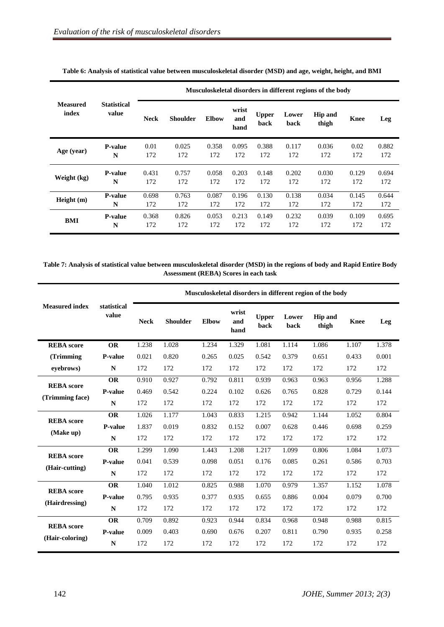|                          | <b>Statistical</b><br>value | Musculoskeletal disorders in different regions of the body |                 |              |                      |                      |               |                         |             |       |  |
|--------------------------|-----------------------------|------------------------------------------------------------|-----------------|--------------|----------------------|----------------------|---------------|-------------------------|-------------|-------|--|
| <b>Measured</b><br>index |                             | <b>Neck</b>                                                | <b>Shoulder</b> | <b>Elbow</b> | wrist<br>and<br>hand | <b>Upper</b><br>back | Lower<br>back | <b>Hip and</b><br>thigh | <b>Knee</b> | Leg   |  |
| Age (year)               | <b>P-value</b>              | 0.01                                                       | 0.025           | 0.358        | 0.095                | 0.388                | 0.117         | 0.036                   | 0.02        | 0.882 |  |
|                          | N                           | 172                                                        | 172             | 172          | 172                  | 172                  | 172           | 172                     | 172         | 172   |  |
| Weight (kg)              | <b>P-value</b>              | 0.431                                                      | 0.757           | 0.058        | 0.203                | 0.148                | 0.202         | 0.030                   | 0.129       | 0.694 |  |
|                          | N                           | 172                                                        | 172             | 172          | 172                  | 172                  | 172           | 172                     | 172         | 172   |  |
| Height (m)               | <b>P-value</b>              | 0.698                                                      | 0.763           | 0.087        | 0.196                | 0.130                | 0.138         | 0.034                   | 0.145       | 0.644 |  |
|                          | N                           | 172                                                        | 172             | 172          | 172                  | 172                  | 172           | 172                     | 172         | 172   |  |
| <b>BMI</b>               | <b>P-value</b>              | 0.368                                                      | 0.826           | 0.053        | 0.213                | 0.149                | 0.232         | 0.039                   | 0.109       | 0.695 |  |
|                          | N                           | 172                                                        | 172             | 172          | 172                  | 172                  | 172           | 172                     | 172         | 172   |  |

**Table 6: Analysis of statistical value between musculoskeletal disorder (MSD) and age, weight, height, and BMI**

**Table 7: Analysis of statistical value between musculoskeletal disorder (MSD) in the regions of body and Rapid Entire Body Assessment (REBA) Scores in each task**

|                       | statistical<br>value | Musculoskeletal disorders in different region of the body |                 |              |                      |                      |               |                         |             |       |
|-----------------------|----------------------|-----------------------------------------------------------|-----------------|--------------|----------------------|----------------------|---------------|-------------------------|-------------|-------|
| <b>Measured index</b> |                      | <b>Neck</b>                                               | <b>Shoulder</b> | <b>Elbow</b> | wrist<br>and<br>hand | <b>Upper</b><br>back | Lower<br>back | <b>Hip and</b><br>thigh | <b>Knee</b> | Leg   |
| <b>REBA</b> score     | <b>OR</b>            | 1.238                                                     | 1.028           | 1.234        | 1.329                | 1.081                | 1.114         | 1.086                   | 1.107       | 1.378 |
| (Trimming             | P-value              | 0.021                                                     | 0.820           | 0.265        | 0.025                | 0.542                | 0.379         | 0.651                   | 0.433       | 0.001 |
| eyebrows)             | $\mathbf N$          | 172                                                       | 172             | 172          | 172                  | 172                  | 172           | 172                     | 172         | 172   |
| <b>REBA</b> score     | <b>OR</b>            | 0.910                                                     | 0.927           | 0.792        | 0.811                | 0.939                | 0.963         | 0.963                   | 0.956       | 1.288 |
|                       | P-value              | 0.469                                                     | 0.542           | 0.224        | 0.102                | 0.626                | 0.765         | 0.828                   | 0.729       | 0.144 |
| (Trimming face)       | N                    | 172                                                       | 172             | 172          | 172                  | 172                  | 172           | 172                     | 172         | 172   |
| <b>REBA</b> score     | <b>OR</b>            | 1.026                                                     | 1.177           | 1.043        | 0.833                | 1.215                | 0.942         | 1.144                   | 1.052       | 0.804 |
|                       | <b>P-value</b>       | 1.837                                                     | 0.019           | 0.832        | 0.152                | 0.007                | 0.628         | 0.446                   | 0.698       | 0.259 |
| (Make up)             | ${\bf N}$            | 172                                                       | 172             | 172          | 172                  | 172                  | 172           | 172                     | 172         | 172   |
| <b>REBA</b> score     | <b>OR</b>            | 1.299                                                     | 1.090           | 1.443        | 1.208                | 1.217                | 1.099         | 0.806                   | 1.084       | 1.073 |
| (Hair-cutting)        | P-value              | 0.041                                                     | 0.539           | 0.098        | 0.051                | 0.176                | 0.085         | 0.261                   | 0.586       | 0.703 |
|                       | ${\bf N}$            | 172                                                       | 172             | 172          | 172                  | 172                  | 172           | 172                     | 172         | 172   |
| <b>REBA</b> score     | <b>OR</b>            | 1.040                                                     | 1.012           | 0.825        | 0.988                | 1.070                | 0.979         | 1.357                   | 1.152       | 1.078 |
|                       | P-value              | 0.795                                                     | 0.935           | 0.377        | 0.935                | 0.655                | 0.886         | 0.004                   | 0.079       | 0.700 |
| (Hairdressing)        | $\mathbf N$          | 172                                                       | 172             | 172          | 172                  | 172                  | 172           | 172                     | 172         | 172   |
| <b>REBA</b> score     | <b>OR</b>            | 0.709                                                     | 0.892           | 0.923        | 0.944                | 0.834                | 0.968         | 0.948                   | 0.988       | 0.815 |
|                       | P-value              | 0.009                                                     | 0.403           | 0.690        | 0.676                | 0.207                | 0.811         | 0.790                   | 0.935       | 0.258 |
| (Hair-coloring)       | ${\bf N}$            | 172                                                       | 172             | 172          | 172                  | 172                  | 172           | 172                     | 172         | 172   |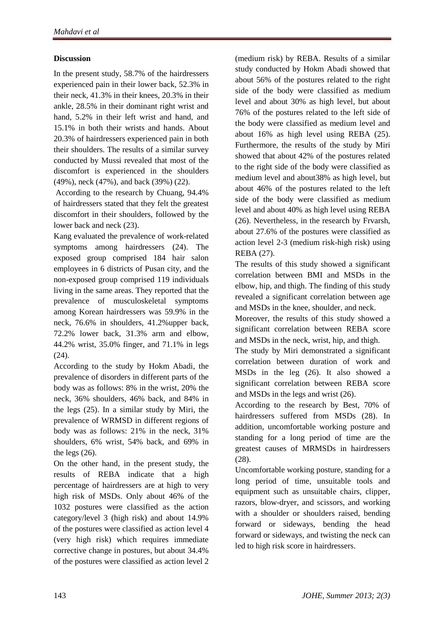# **Discussion**

In the present study, 58.7% of the hairdressers experienced pain in their lower back, 52.3% in their neck, 41.3% in their knees, 20.3% in their ankle, 28.5% in their dominant right wrist and hand, 5.2% in their left wrist and hand, and 15.1% in both their wrists and hands. About 20.3% of hairdressers experienced pain in both their shoulders. The results of a similar survey conducted by Mussi revealed that most of the discomfort is experienced in the shoulders (49%), neck (47%), and back (39%) (22).

According to the research by Chuang, 94.4% of hairdressers stated that they felt the greatest discomfort in their shoulders, followed by the lower back and neck (23).

Kang evaluated the prevalence of work-related symptoms among hairdressers (24). The exposed group comprised 184 hair salon employees in 6 districts of Pusan city, and the non-exposed group comprised 119 individuals living in the same areas. They reported that the prevalence of musculoskeletal symptoms among Korean hairdressers was 59.9% in the neck, 76.6% in shoulders, 41.2%upper back, 72.2% lower back, 31.3% arm and elbow, 44.2% wrist, 35.0% finger, and 71.1% in legs  $(24)$ .

According to the study by Hokm Abadi, the prevalence of disorders in different parts of the body was as follows: 8% in the wrist, 20% the neck, 36% shoulders, 46% back, and 84% in the legs (25). In a similar study by Miri, the prevalence of WRMSD in different regions of body was as follows: 21% in the neck, 31% shoulders, 6% wrist, 54% back, and 69% in the legs (26).

On the other hand, in the present study, the results of REBA indicate that a high percentage of hairdressers are at high to very high risk of MSDs. Only about 46% of the 1032 postures were classified as the action category/level 3 (high risk) and about 14.9% of the postures were classified as action level 4 (very high risk) which requires immediate corrective change in postures, but about 34.4% of the postures were classified as action level 2

(medium risk) by REBA. Results of a similar study conducted by Hokm Abadi showed that about 56% of the postures related to the right side of the body were classified as medium level and about 30% as high level, but about 76% of the postures related to the left side of the body were classified as medium level and about 16% as high level using REBA (25). Furthermore, the results of the study by Miri showed that about 42% of the postures related to the right side of the body were classified as medium level and about38% as high level, but about 46% of the postures related to the left side of the body were classified as medium level and about 40% as high level using REBA (26). Nevertheless, in the research by Frvarsh, about 27.6% of the postures were classified as action level 2-3 (medium risk-high risk) using REBA (27).

The results of this study showed a significant correlation between BMI and MSDs in the elbow, hip, and thigh. The finding of this study revealed a significant correlation between age and MSDs in the knee, shoulder, and neck.

Moreover, the results of this study showed a significant correlation between REBA score and MSDs in the neck, wrist, hip, and thigh.

The study by Miri demonstrated a significant correlation between duration of work and MSDs in the leg (26). It also showed a significant correlation between REBA score and MSDs in the legs and wrist (26).

According to the research by Best, 70% of hairdressers suffered from MSDs (28). In addition, uncomfortable working posture and standing for a long period of time are the greatest causes of MRMSDs in hairdressers (28).

Uncomfortable working posture, standing for a long period of time, unsuitable tools and equipment such as unsuitable chairs, clipper, razors, blow-dryer, and scissors, and working with a shoulder or shoulders raised, bending forward or sideways, bending the head forward or sideways, and twisting the neck can led to high risk score in hairdressers.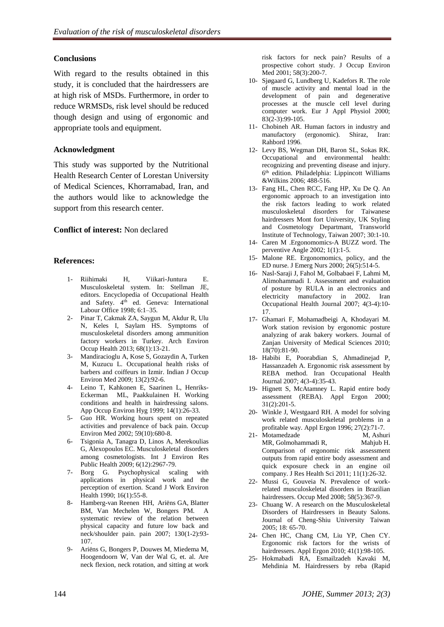# **Conclusions**

With regard to the results obtained in this study, it is concluded that the hairdressers are at high risk of MSDs. Furthermore, in order to reduce WRMSDs, risk level should be reduced though design and using of ergonomic and appropriate tools and equipment.

## **Acknowledgment**

This study was supported by the Nutritional Health Research Center of Lorestan University of Medical Sciences, Khorramabad, Iran, and the authors would like to acknowledge the support from this research center.

# **Conflict of interest:** Non declared

## **References:**

- 1- Riihimaki H, Viikari-Juntura E. Musculoskeletal system. In: Stellman JE, editors. Encyclopedia of Occupational Health and Safety. 4<sup>th</sup> ed. Geneva: International Labour Office 1998; 6:1–35.
- 2- Pinar T, Cakmak ZA, Saygun M, Akdur R, Ulu N, Keles I, Saylam HS. Symptoms of musculoskeletal disorders among ammunition factory workers in Turkey. Arch Environ Occup Health 2013; 68(1):13-21.
- 3- Mandiracioglu A, Kose S, Gozaydin A, Turken M, Kuzucu L. Occupational health risks of barbers and coiffeurs in Izmir. Indian J Occup Environ Med 2009; 13(2):92-6.
- 4- Leino T, Kahkonen E, Saarinen L, Henriks-Eckerman ML, Paakkulainen H. Working conditions and health in hairdressing salons. App Occup Environ Hyg 1999; 14(1):26-33.
- 5- Guo HR. Working hours spent on repeated activities and prevalence of back pain. Occup Environ Med 2002; 59(10):680-8.
- 6- Tsigonia A, Tanagra D, Linos A, Merekoulias G, Alexopoulos EC. Musculoskeletal disorders among cosmetologists. Int J Environ Res Public Health 2009; 6(12):2967-79.
- 7- Borg G. Psychophysical scaling with applications in physical work and the perception of exertion. Scand J Work Environ Health 1990; 16(1):55-8.
- 8- Hamberg-van Reenen HH, Ariëns GA, Blatter BM, Van Mechelen W, Bongers PM. A systematic review of the relation between physical capacity and future low back and neck/shoulder pain. pain 2007; 130(1-2):93- 107.
- 9- Ariëns G, Bongers P, Douwes M, Miedema M, Hoogendoorn W, Van der Wal G, et. al. Are neck flexion, neck rotation, and sitting at work

risk factors for neck pain? Results of a prospective cohort study. J Occup Environ Med 2001; 58(3):200-7.

- 10- Sjøgaard G, Lundberg U, Kadefors R. The role of muscle activity and mental load in the development of pain and degenerative processes at the muscle cell level during computer work. Eur J Appl Physiol 2000; 83(2-3):99-105.
- 11- Chobineh AR. Human factors in industry and manufactory (ergonomic). Shiraz, Iran: Rahbord 1996.
- 12- Levy BS, Wegman DH, Baron SL, Sokas RK. Occupational and environmental health: recognizing and preventing disease and injury. 6 th edition. Philadelphia: Lippincott Williams &Wilkins 2006; 488-516.
- 13- Fang HL, Chen RCC, Fang HP, Xu De Q. An ergonomic approach to an investigation into the risk factors leading to work related musculoskeletal disorders for Taiwanese hairdressers Mont fort University, UK Styling and Cosmetology Departmant, Transworld Institute of Technology, Taiwan 2007; 30:1-10.
- 14- Caren M .Ergonomomics-A BUZZ word. The perventive Angle 2002; 1(1):1-5.
- 15- Malone RE. Ergonomomics, policy, and the ED nurse. J Emerg Nurs 2000; 26(5):514-5.
- 16- Nasl-Saraji J, Fahol M, Golbabaei F, Lahmi M, Alimohammadi I. Assessment and evaluation of posture by RULA in an electronics and electricity manufactory in 2002. Iran Occupational Health Journal 2007; 4(3-4):10- 17.
- 17- Ghamari F, Mohamadbeigi A, Khodayari M. Work station revision by ergonomic posture analyzing of arak bakery workers. Journal of Zanjan University of Medical Sciences 2010; 18(70):81-90.
- 18- Habibi E, Poorabdian S, Ahmadinejad P, Hassanzadeh A. Ergonomic risk assessment by REBA method. Iran Occupational Health Journal 2007; 4(3-4):35-43.
- 19- Hignett S, McAtamney L. Rapid entire body assessment (REBA). Appl Ergon 2000; 31(2):201-5.
- 20- Winkle J, Westgaard RH. A model for solving work related musculoskeletal problems in a profitable way. Appl Ergon 1996; 27(2):71-7.<br>Motamedzade M. Ashuri
- 21- Motamedzade MR, Golmohammadi R, Mahjub H. Comparison of ergonomic risk assessment outputs from rapid entire body assessment and quick exposure check in an engine oil company. J Res Health Sci 2011; 11(1):26-32.
- 22- Mussi G, Gouveia N. Prevalence of workrelated musculoskeletal disorders in Brazilian hairdressers. Occup Med 2008; 58(5):367-9.
- 23- Chuang W. A research on the Musculoskeletal Disorders of Hairdressers in Beauty Salons. Journal of Cheng-Shiu University Taiwan 2005; 18: 65-70.
- 24- Chen HC, Chang CM, Liu YP, Chen CY. Ergonomic risk factors for the wrists of hairdressers. Appl Ergon 2010; 41(1):98-105.
- 25- Hokmabadi RA, Esmailzadeh Kavaki M, Mehdinia M. Hairdressers by reba (Rapid